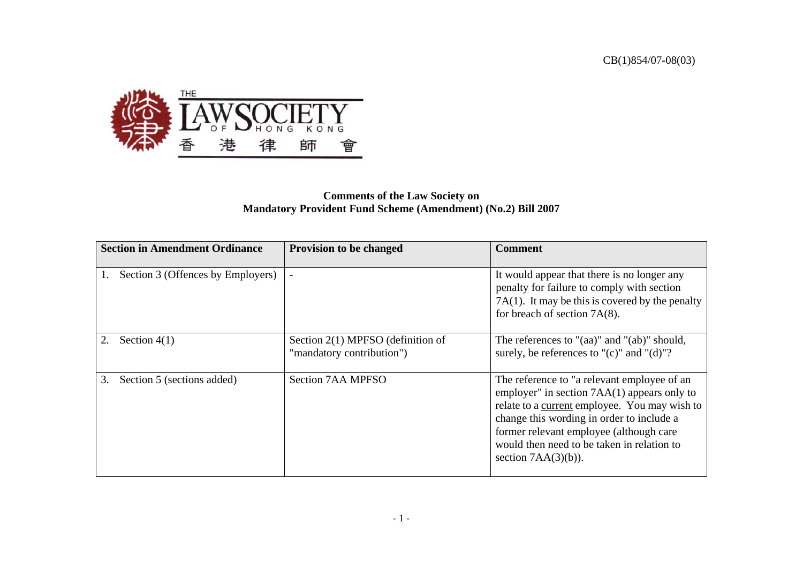

## **Comments of the Law Society on Mandatory Provident Fund Scheme (Amendment) (No.2) Bill 2007**

| <b>Section in Amendment Ordinance</b> | Provision to be changed                                          | <b>Comment</b>                                                                                                                                                                                                                                                                                                |
|---------------------------------------|------------------------------------------------------------------|---------------------------------------------------------------------------------------------------------------------------------------------------------------------------------------------------------------------------------------------------------------------------------------------------------------|
| Section 3 (Offences by Employers)     |                                                                  | It would appear that there is no longer any<br>penalty for failure to comply with section<br>$7A(1)$ . It may be this is covered by the penalty<br>for breach of section $7A(8)$ .                                                                                                                            |
| Section $4(1)$                        | Section $2(1)$ MPFSO (definition of<br>"mandatory contribution") | The references to " $(aa)$ " and " $(ab)$ " should,<br>surely, be references to " $(c)$ " and " $(d)$ "?                                                                                                                                                                                                      |
| 3.<br>Section 5 (sections added)      | <b>Section 7AA MPFSO</b>                                         | The reference to "a relevant employee of an<br>employer" in section $7AA(1)$ appears only to<br>relate to a current employee. You may wish to<br>change this wording in order to include a<br>former relevant employee (although care<br>would then need to be taken in relation to<br>section $7AA(3)(b)$ ). |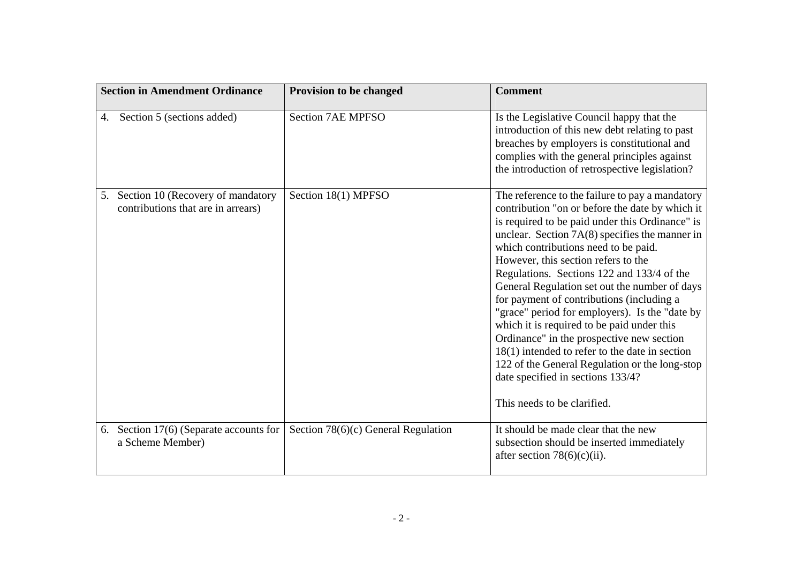| <b>Section in Amendment Ordinance</b>                                      | Provision to be changed               | <b>Comment</b>                                                                                                                                                                                                                                                                                                                                                                                                                                                                                                                                                                                                                                                                                                                                              |
|----------------------------------------------------------------------------|---------------------------------------|-------------------------------------------------------------------------------------------------------------------------------------------------------------------------------------------------------------------------------------------------------------------------------------------------------------------------------------------------------------------------------------------------------------------------------------------------------------------------------------------------------------------------------------------------------------------------------------------------------------------------------------------------------------------------------------------------------------------------------------------------------------|
| Section 5 (sections added)<br>4.                                           | <b>Section 7AE MPFSO</b>              | Is the Legislative Council happy that the<br>introduction of this new debt relating to past<br>breaches by employers is constitutional and<br>complies with the general principles against<br>the introduction of retrospective legislation?                                                                                                                                                                                                                                                                                                                                                                                                                                                                                                                |
| 5. Section 10 (Recovery of mandatory<br>contributions that are in arrears) | Section 18(1) MPFSO                   | The reference to the failure to pay a mandatory<br>contribution "on or before the date by which it<br>is required to be paid under this Ordinance" is<br>unclear. Section $7A(8)$ specifies the manner in<br>which contributions need to be paid.<br>However, this section refers to the<br>Regulations. Sections 122 and 133/4 of the<br>General Regulation set out the number of days<br>for payment of contributions (including a<br>"grace" period for employers). Is the "date by<br>which it is required to be paid under this<br>Ordinance" in the prospective new section<br>$18(1)$ intended to refer to the date in section<br>122 of the General Regulation or the long-stop<br>date specified in sections 133/4?<br>This needs to be clarified. |
| 6. Section 17(6) (Separate accounts for<br>a Scheme Member)                | Section $78(6)(c)$ General Regulation | It should be made clear that the new<br>subsection should be inserted immediately<br>after section $78(6)(c)(ii)$ .                                                                                                                                                                                                                                                                                                                                                                                                                                                                                                                                                                                                                                         |